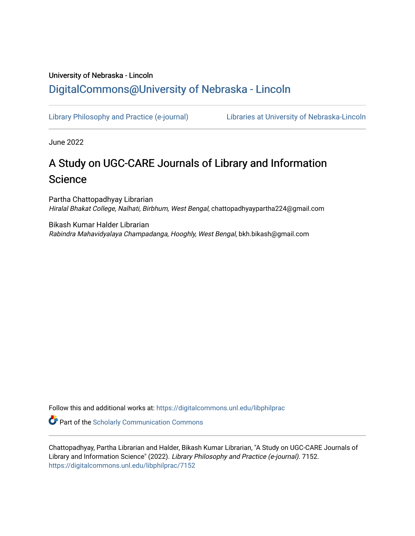## University of Nebraska - Lincoln [DigitalCommons@University of Nebraska - Lincoln](https://digitalcommons.unl.edu/)

[Library Philosophy and Practice \(e-journal\)](https://digitalcommons.unl.edu/libphilprac) [Libraries at University of Nebraska-Lincoln](https://digitalcommons.unl.edu/libraries) 

June 2022

# A Study on UGC-CARE Journals of Library and Information Science

Partha Chattopadhyay Librarian Hiralal Bhakat College, Nalhati, Birbhum, West Bengal, chattopadhyaypartha224@gmail.com

Bikash Kumar Halder Librarian Rabindra Mahavidyalaya Champadanga, Hooghly, West Bengal, bkh.bikash@gmail.com

Follow this and additional works at: [https://digitalcommons.unl.edu/libphilprac](https://digitalcommons.unl.edu/libphilprac?utm_source=digitalcommons.unl.edu%2Flibphilprac%2F7152&utm_medium=PDF&utm_campaign=PDFCoverPages) 

**C** Part of the Scholarly Communication Commons

Chattopadhyay, Partha Librarian and Halder, Bikash Kumar Librarian, "A Study on UGC-CARE Journals of Library and Information Science" (2022). Library Philosophy and Practice (e-journal). 7152. [https://digitalcommons.unl.edu/libphilprac/7152](https://digitalcommons.unl.edu/libphilprac/7152?utm_source=digitalcommons.unl.edu%2Flibphilprac%2F7152&utm_medium=PDF&utm_campaign=PDFCoverPages)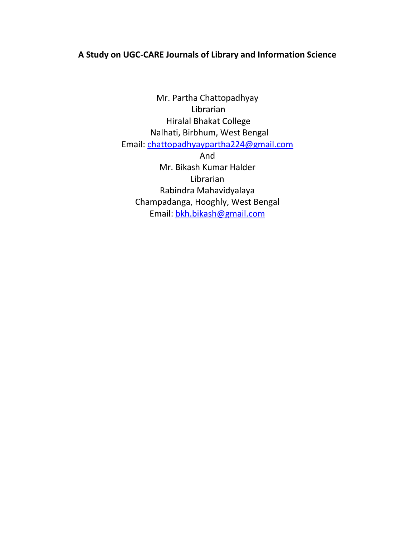## **A Study on UGC-CARE Journals of Library and Information Science**

Mr. Partha Chattopadhyay Librarian Hiralal Bhakat College Nalhati, Birbhum, West Bengal Email: [chattopadhyaypartha224@gmail.com](mailto:chattopadhyaypartha224@gmail.com) And Mr. Bikash Kumar Halder

Librarian Rabindra Mahavidyalaya Champadanga, Hooghly, West Bengal Email: [bkh.bikash@gmail.com](mailto:bkh.bikash@gmail.com)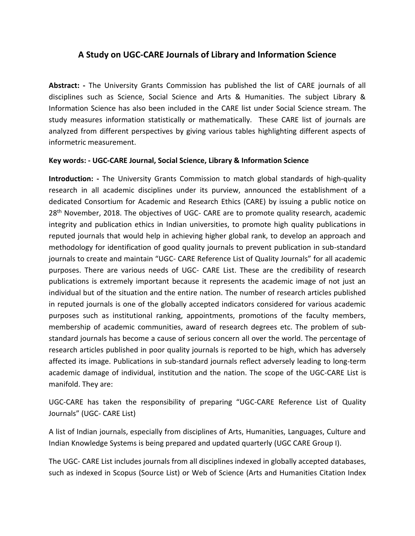## **A Study on UGC-CARE Journals of Library and Information Science**

**Abstract: -** The University Grants Commission has published the list of CARE journals of all disciplines such as Science, Social Science and Arts & Humanities. The subject Library & Information Science has also been included in the CARE list under Social Science stream. The study measures information statistically or mathematically. These CARE list of journals are analyzed from different perspectives by giving various tables highlighting different aspects of informetric measurement.

#### **Key words: - UGC-CARE Journal, Social Science, Library & Information Science**

**Introduction: -** The University Grants Commission to match global standards of high-quality research in all academic disciplines under its purview, announced the establishment of a dedicated Consortium for Academic and Research Ethics (CARE) by issuing a public notice on 28<sup>th</sup> November, 2018. The objectives of UGC- CARE are to promote quality research, academic integrity and publication ethics in Indian universities, to promote high quality publications in reputed journals that would help in achieving higher global rank, to develop an approach and methodology for identification of good quality journals to prevent publication in sub-standard journals to create and maintain "UGC- CARE Reference List of Quality Journals" for all academic purposes. There are various needs of UGC- CARE List. These are the credibility of research publications is extremely important because it represents the academic image of not just an individual but of the situation and the entire nation. The number of research articles published in reputed journals is one of the globally accepted indicators considered for various academic purposes such as institutional ranking, appointments, promotions of the faculty members, membership of academic communities, award of research degrees etc. The problem of substandard journals has become a cause of serious concern all over the world. The percentage of research articles published in poor quality journals is reported to be high, which has adversely affected its image. Publications in sub-standard journals reflect adversely leading to long-term academic damage of individual, institution and the nation. The scope of the UGC-CARE List is manifold. They are:

UGC-CARE has taken the responsibility of preparing "UGC-CARE Reference List of Quality Journals" (UGC- CARE List)

A list of Indian journals, especially from disciplines of Arts, Humanities, Languages, Culture and Indian Knowledge Systems is being prepared and updated quarterly (UGC CARE Group I).

The UGC- CARE List includes journals from all disciplines indexed in globally accepted databases, such as indexed in Scopus (Source List) or Web of Science (Arts and Humanities Citation Index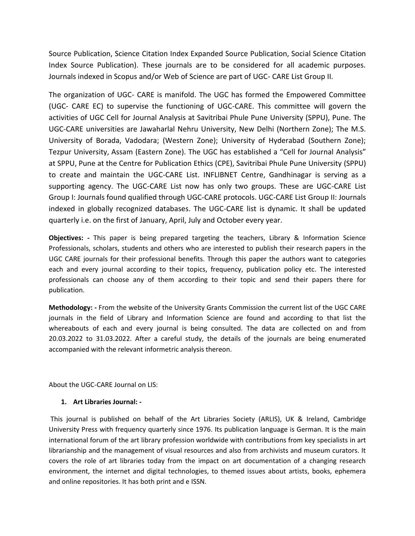Source Publication, Science Citation Index Expanded Source Publication, Social Science Citation Index Source Publication). These journals are to be considered for all academic purposes. Journals indexed in Scopus and/or Web of Science are part of UGC- CARE List Group II.

The organization of UGC- CARE is manifold. The UGC has formed the Empowered Committee (UGC- CARE EC) to supervise the functioning of UGC-CARE. This committee will govern the activities of UGC Cell for Journal Analysis at Savitribai Phule Pune University (SPPU), Pune. The UGC-CARE universities are Jawaharlal Nehru University, New Delhi (Northern Zone); The M.S. University of Borada, Vadodara; (Western Zone); University of Hyderabad (Southern Zone); Tezpur University, Assam (Eastern Zone). The UGC has established a "Cell for Journal Analysis" at SPPU, Pune at the Centre for Publication Ethics (CPE), Savitribai Phule Pune University (SPPU) to create and maintain the UGC-CARE List. INFLIBNET Centre, Gandhinagar is serving as a supporting agency. The UGC-CARE List now has only two groups. These are UGC-CARE List Group I: Journals found qualified through UGC-CARE protocols. UGC-CARE List Group II: Journals indexed in globally recognized databases. The UGC-CARE list is dynamic. It shall be updated quarterly i.e. on the first of January, April, July and October every year.

**Objectives: -** This paper is being prepared targeting the teachers, Library & Information Science Professionals, scholars, students and others who are interested to publish their research papers in the UGC CARE journals for their professional benefits. Through this paper the authors want to categories each and every journal according to their topics, frequency, publication policy etc. The interested professionals can choose any of them according to their topic and send their papers there for publication.

**Methodology: -** From the website of the University Grants Commission the current list of the UGC CARE journals in the field of Library and Information Science are found and according to that list the whereabouts of each and every journal is being consulted. The data are collected on and from 20.03.2022 to 31.03.2022. After a careful study, the details of the journals are being enumerated accompanied with the relevant informetric analysis thereon.

About the UGC-CARE Journal on LIS:

#### **1. Art Libraries Journal: -**

This journal is published on behalf of the Art Libraries Society (ARLIS), UK & Ireland, Cambridge University Press with frequency quarterly since 1976. Its publication language is German. It is the main international forum of the art library profession worldwide with contributions from key specialists in art librarianship and the management of visual resources and also from archivists and museum curators. It covers the role of art libraries today from the impact on art documentation of a changing research environment, the internet and digital technologies, to themed issues about artists, books, ephemera and online repositories. It has both print and e ISSN.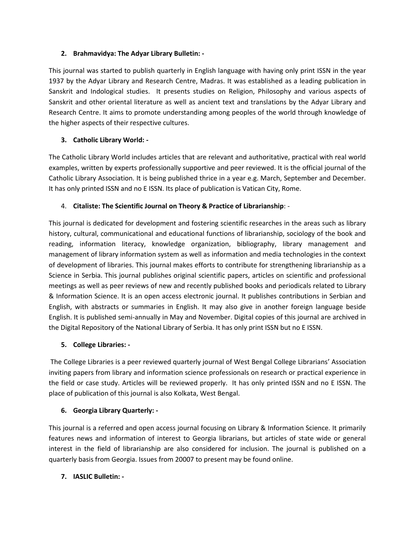### **2. Brahmavidya: The Adyar Library Bulletin: -**

This journal was started to publish quarterly in English language with having only print ISSN in the year 1937 by the Adyar Library and Research Centre, Madras. It was established as a leading publication in Sanskrit and Indological studies. It presents studies on Religion, Philosophy and various aspects of Sanskrit and other oriental literature as well as ancient text and translations by the Adyar Library and Research Centre. It aims to promote understanding among peoples of the world through knowledge of the higher aspects of their respective cultures.

## **3. Catholic Library World: -**

The Catholic Library World includes articles that are relevant and authoritative, practical with real world examples, written by experts professionally supportive and peer reviewed. It is the official journal of the Catholic Library Association. It is being published thrice in a year e.g. March, September and December. It has only printed ISSN and no E ISSN. Its place of publication is Vatican City, Rome.

## 4. **Citaliste: The Scientific Journal on Theory & Practice of Librarianship**: -

This journal is dedicated for development and fostering scientific researches in the areas such as library history, cultural, communicational and educational functions of librarianship, sociology of the book and reading, information literacy, knowledge organization, bibliography, library management and management of library information system as well as information and media technologies in the context of development of libraries. This journal makes efforts to contribute for strengthening librarianship as a Science in Serbia. This journal publishes original scientific papers, articles on scientific and professional meetings as well as peer reviews of new and recently published books and periodicals related to Library & Information Science. It is an open access electronic journal. It publishes contributions in Serbian and English, with abstracts or summaries in English. It may also give in another foreign language beside English. It is published semi-annually in May and November. Digital copies of this journal are archived in the Digital Repository of the National Library of Serbia. It has only print ISSN but no E ISSN.

## **5. College Libraries: -**

The College Libraries is a peer reviewed quarterly journal of West Bengal College Librarians' Association inviting papers from library and information science professionals on research or practical experience in the field or case study. Articles will be reviewed properly. It has only printed ISSN and no E ISSN. The place of publication of this journal is also Kolkata, West Bengal.

## **6. Georgia Library Quarterly: -**

This journal is a referred and open access journal focusing on Library & Information Science. It primarily features news and information of interest to Georgia librarians, but articles of state wide or general interest in the field of librarianship are also considered for inclusion. The journal is published on a quarterly basis from Georgia. Issues from 20007 to present may be found online.

## **7. IASLIC Bulletin: -**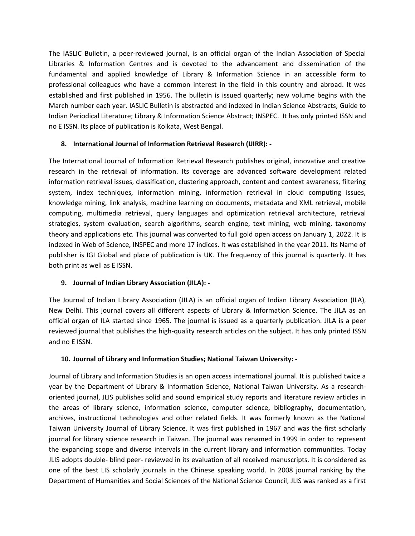The IASLIC Bulletin, a peer-reviewed journal, is an official organ of the Indian Association of Special Libraries & Information Centres and is devoted to the advancement and dissemination of the fundamental and applied knowledge of Library & Information Science in an accessible form to professional colleagues who have a common interest in the field in this country and abroad. It was established and first published in 1956. The bulletin is issued quarterly; new volume begins with the March number each year. IASLIC Bulletin is abstracted and indexed in Indian Science Abstracts; Guide to Indian Periodical Literature; Library & Information Science Abstract; INSPEC. It has only printed ISSN and no E ISSN. Its place of publication is Kolkata, West Bengal.

#### **8. International Journal of Information Retrieval Research (IJIRR): -**

The International Journal of Information Retrieval Research publishes original, innovative and creative research in the retrieval of information. Its coverage are advanced software development related information retrieval issues, classification, clustering approach, content and context awareness, filtering system, index techniques, information mining, information retrieval in cloud computing issues, knowledge mining, link analysis, machine learning on documents, metadata and XML retrieval, mobile computing, multimedia retrieval, query languages and optimization retrieval architecture, retrieval strategies, system evaluation, search algorithms, search engine, text mining, web mining, taxonomy theory and applications etc. This journal was converted to full gold open access on January 1, 2022. It is indexed in Web of Science, INSPEC and more 17 indices. It was established in the year 2011. Its Name of publisher is IGI Global and place of publication is UK. The frequency of this journal is quarterly. It has both print as well as E ISSN.

## **9. Journal of Indian Library Association (JILA): -**

The Journal of Indian Library Association (JILA) is an official organ of Indian Library Association (ILA), New Delhi. This journal covers all different aspects of Library & Information Science. The JILA as an official organ of ILA started since 1965. The journal is issued as a quarterly publication. JILA is a peer reviewed journal that publishes the high-quality research articles on the subject. It has only printed ISSN and no E ISSN.

## **10. Journal of Library and Information Studies; National Taiwan University: -**

Journal of Library and Information Studies is an open access international journal. It is published twice a year by the Department of Library & Information Science, National Taiwan University. As a researchoriented journal, JLIS publishes solid and sound empirical study reports and literature review articles in the areas of library science, information science, computer science, bibliography, documentation, archives, instructional technologies and other related fields. It was formerly known as the National Taiwan University Journal of Library Science. It was first published in 1967 and was the first scholarly journal for library science research in Taiwan. The journal was renamed in 1999 in order to represent the expanding scope and diverse intervals in the current library and information communities. Today JLIS adopts double- blind peer- reviewed in its evaluation of all received manuscripts. It is considered as one of the best LIS scholarly journals in the Chinese speaking world. In 2008 journal ranking by the Department of Humanities and Social Sciences of the National Science Council, JLIS was ranked as a first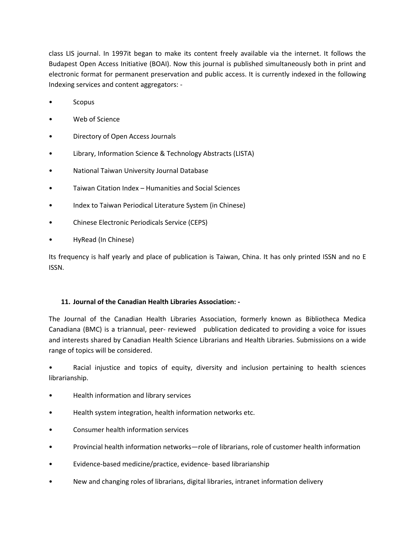class LIS journal. In 1997it began to make its content freely available via the internet. It follows the Budapest Open Access Initiative (BOAI). Now this journal is published simultaneously both in print and electronic format for permanent preservation and public access. It is currently indexed in the following Indexing services and content aggregators: -

- Scopus
- Web of Science
- Directory of Open Access Journals
- Library, Information Science & Technology Abstracts (LISTA)
- National Taiwan University Journal Database
- Taiwan Citation Index Humanities and Social Sciences
- Index to Taiwan Periodical Literature System (in Chinese)
- Chinese Electronic Periodicals Service (CEPS)
- HyRead (In Chinese)

Its frequency is half yearly and place of publication is Taiwan, China. It has only printed ISSN and no E ISSN.

#### **11. Journal of the Canadian Health Libraries Association: -**

The Journal of the Canadian Health Libraries Association, formerly known as Bibliotheca Medica Canadiana (BMC) is a triannual, peer- reviewed publication dedicated to providing a voice for issues and interests shared by Canadian Health Science Librarians and Health Libraries. Submissions on a wide range of topics will be considered.

• Racial injustice and topics of equity, diversity and inclusion pertaining to health sciences librarianship.

- Health information and library services
- Health system integration, health information networks etc.
- Consumer health information services
- Provincial health information networks—role of librarians, role of customer health information
- Evidence-based medicine/practice, evidence- based librarianship
- New and changing roles of librarians, digital libraries, intranet information delivery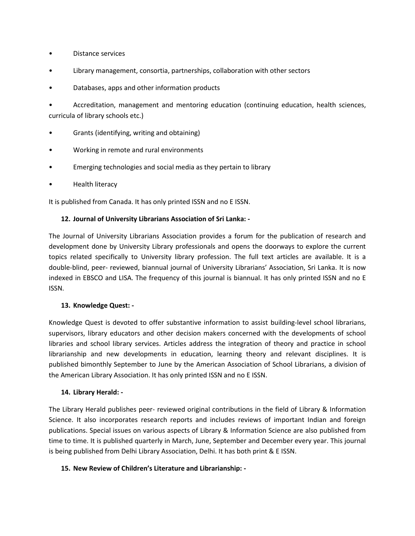- Distance services
- Library management, consortia, partnerships, collaboration with other sectors
- Databases, apps and other information products

• Accreditation, management and mentoring education (continuing education, health sciences, curricula of library schools etc.)

- Grants (identifying, writing and obtaining)
- Working in remote and rural environments
- Emerging technologies and social media as they pertain to library
- Health literacy

It is published from Canada. It has only printed ISSN and no E ISSN.

#### **12. Journal of University Librarians Association of Sri Lanka: -**

The Journal of University Librarians Association provides a forum for the publication of research and development done by University Library professionals and opens the doorways to explore the current topics related specifically to University library profession. The full text articles are available. It is a double-blind, peer- reviewed, biannual journal of University Librarians' Association, Sri Lanka. It is now indexed in EBSCO and LISA. The frequency of this journal is biannual. It has only printed ISSN and no E ISSN.

#### **13. Knowledge Quest: -**

Knowledge Quest is devoted to offer substantive information to assist building-level school librarians, supervisors, library educators and other decision makers concerned with the developments of school libraries and school library services. Articles address the integration of theory and practice in school librarianship and new developments in education, learning theory and relevant disciplines. It is published bimonthly September to June by the American Association of School Librarians, a division of the American Library Association. It has only printed ISSN and no E ISSN.

#### **14. Library Herald: -**

The Library Herald publishes peer- reviewed original contributions in the field of Library & Information Science. It also incorporates research reports and includes reviews of important Indian and foreign publications. Special issues on various aspects of Library & Information Science are also published from time to time. It is published quarterly in March, June, September and December every year. This journal is being published from Delhi Library Association, Delhi. It has both print & E ISSN.

#### **15. New Review of Children's Literature and Librarianship: -**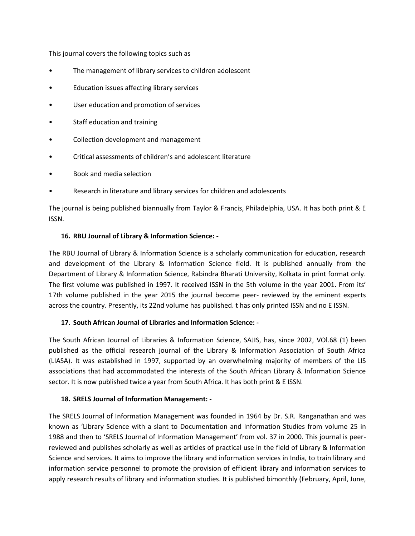This journal covers the following topics such as

- The management of library services to children adolescent
- Education issues affecting library services
- User education and promotion of services
- Staff education and training
- Collection development and management
- Critical assessments of children's and adolescent literature
- Book and media selection
- Research in literature and library services for children and adolescents

The journal is being published biannually from Taylor & Francis, Philadelphia, USA. It has both print & E ISSN.

#### **16. RBU Journal of Library & Information Science: -**

The RBU Journal of Library & Information Science is a scholarly communication for education, research and development of the Library & Information Science field. It is published annually from the Department of Library & Information Science, Rabindra Bharati University, Kolkata in print format only. The first volume was published in 1997. It received ISSN in the 5th volume in the year 2001. From its' 17th volume published in the year 2015 the journal become peer- reviewed by the eminent experts across the country. Presently, its 22nd volume has published. t has only printed ISSN and no E ISSN.

#### **17. South African Journal of Libraries and Information Science: -**

The South African Journal of Libraries & Information Science, SAJIS, has, since 2002, VOl.68 (1) been published as the official research journal of the Library & Information Association of South Africa (LIASA). It was established in 1997, supported by an overwhelming majority of members of the LIS associations that had accommodated the interests of the South African Library & Information Science sector. It is now published twice a year from South Africa. It has both print & E ISSN.

#### **18. SRELS Journal of Information Management: -**

The SRELS Journal of Information Management was founded in 1964 by Dr. S.R. Ranganathan and was known as 'Library Science with a slant to Documentation and Information Studies from volume 25 in 1988 and then to 'SRELS Journal of Information Management' from vol. 37 in 2000. This journal is peerreviewed and publishes scholarly as well as articles of practical use in the field of Library & Information Science and services. It aims to improve the library and information services in India, to train library and information service personnel to promote the provision of efficient library and information services to apply research results of library and information studies. It is published bimonthly (February, April, June,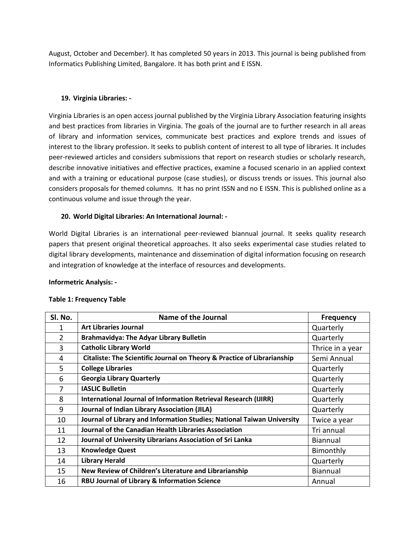August, October and December). It has completed 50 years in 2013. This journal is being published from Informatics Publishing Limited, Bangalore. It has both print and E ISSN.

#### **19. Virginia Libraries: -**

Virginia Libraries is an open access journal published by the Virginia Library Association featuring insights and best practices from libraries in Virginia. The goals of the journal are to further research in all areas of library and information services, communicate best practices and explore trends and issues of interest to the library profession. It seeks to publish content of interest to all type of libraries. It includes peer-reviewed articles and considers submissions that report on research studies or scholarly research, describe innovative initiatives and effective practices, examine a focused scenario in an applied context and with a training or educational purpose (case studies), or discuss trends or issues. This journal also considers proposals for themed columns. It has no print ISSN and no E ISSN. This is published online as a continuous volume and issue through the year.

#### **20. World Digital Libraries: An International Journal: -**

World Digital Libraries is an international peer-reviewed biannual journal. It seeks quality research papers that present original theoretical approaches. It also seeks experimental case studies related to digital library developments, maintenance and dissemination of digital information focusing on research and integration of knowledge at the interface of resources and developments.

#### **Informetric Analysis: -**

| SI. No.        | Name of the Journal                                                     | <b>Frequency</b> |
|----------------|-------------------------------------------------------------------------|------------------|
| 1              | <b>Art Libraries Journal</b>                                            | Quarterly        |
| $\overline{2}$ | <b>Brahmavidya: The Adyar Library Bulletin</b>                          | Quarterly        |
| 3              | <b>Catholic Library World</b>                                           | Thrice in a year |
| 4              | Citaliste: The Scientific Journal on Theory & Practice of Librarianship | Semi Annual      |
| 5              | <b>College Libraries</b>                                                | Quarterly        |
| 6              | <b>Georgia Library Quarterly</b>                                        | Quarterly        |
| 7              | <b>IASLIC Bulletin</b>                                                  | Quarterly        |
| 8              | <b>International Journal of Information Retrieval Research (IJIRR)</b>  | Quarterly        |
| 9              | Journal of Indian Library Association (JILA)                            | Quarterly        |
| 10             | Journal of Library and Information Studies; National Taiwan University  | Twice a year     |
| 11             | Journal of the Canadian Health Libraries Association                    | Tri annual       |
| 12             | Journal of University Librarians Association of Sri Lanka               | <b>Biannual</b>  |
| 13             | <b>Knowledge Quest</b>                                                  | Bimonthly        |
| 14             | <b>Library Herald</b>                                                   | Quarterly        |
| 15             | New Review of Children's Literature and Librarianship                   | <b>Biannual</b>  |
| 16             | RBU Journal of Library & Information Science                            | Annual           |

#### **Table 1: Frequency Table**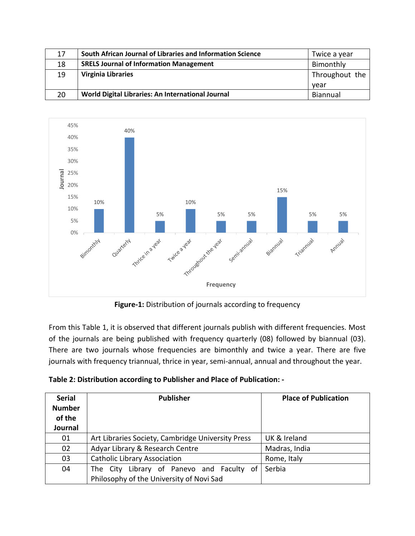| 17 | South African Journal of Libraries and Information Science | Twice a year   |
|----|------------------------------------------------------------|----------------|
| 18 | <b>SRELS Journal of Information Management</b>             | Bimonthly      |
| 19 | <b>Virginia Libraries</b>                                  | Throughout the |
|    |                                                            | vear           |
| 20 | World Digital Libraries: An International Journal          | Biannual       |



**Figure-1:** Distribution of journals according to frequency

From this Table 1, it is observed that different journals publish with different frequencies. Most of the journals are being published with frequency quarterly (08) followed by biannual (03). There are two journals whose frequencies are bimonthly and twice a year. There are five journals with frequency triannual, thrice in year, semi-annual, annual and throughout the year.

| <b>Serial</b><br><b>Number</b><br>of the<br>Journal | <b>Publisher</b>                                                                      | <b>Place of Publication</b> |
|-----------------------------------------------------|---------------------------------------------------------------------------------------|-----------------------------|
| 01                                                  | Art Libraries Society, Cambridge University Press                                     | UK & Ireland                |
| 02                                                  | Adyar Library & Research Centre                                                       | Madras, India               |
| 03                                                  | <b>Catholic Library Association</b>                                                   | Rome, Italy                 |
| 04                                                  | The City Library of Panevo and Faculty of<br>Philosophy of the University of Novi Sad | Serbia                      |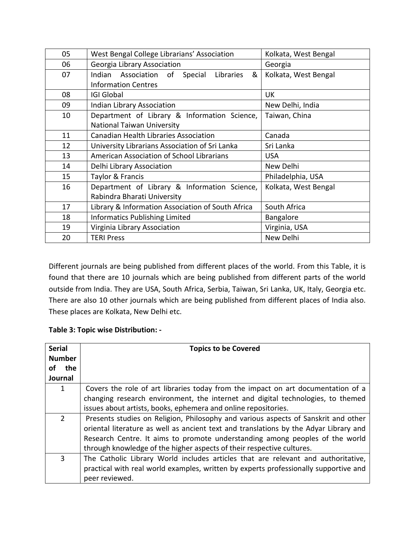| 05 | West Bengal College Librarians' Association        | Kolkata, West Bengal |  |
|----|----------------------------------------------------|----------------------|--|
| 06 | Georgia Library Association                        | Georgia              |  |
| 07 | &<br>Special<br>Libraries<br>Indian Association of | Kolkata, West Bengal |  |
|    | <b>Information Centres</b>                         |                      |  |
| 08 | <b>IGI Global</b>                                  | <b>UK</b>            |  |
| 09 | Indian Library Association                         | New Delhi, India     |  |
| 10 | Department of Library & Information Science,       | Taiwan, China        |  |
|    | <b>National Taiwan University</b>                  |                      |  |
| 11 | <b>Canadian Health Libraries Association</b>       | Canada               |  |
| 12 | University Librarians Association of Sri Lanka     | Sri Lanka            |  |
| 13 | American Association of School Librarians          | <b>USA</b>           |  |
| 14 | Delhi Library Association                          | New Delhi            |  |
| 15 | Taylor & Francis                                   | Philadelphia, USA    |  |
| 16 | Department of Library & Information Science,       | Kolkata, West Bengal |  |
|    | Rabindra Bharati University                        |                      |  |
| 17 | Library & Information Association of South Africa  | South Africa         |  |
| 18 | <b>Informatics Publishing Limited</b>              | <b>Bangalore</b>     |  |
| 19 | Virginia Library Association                       | Virginia, USA        |  |
| 20 | <b>TERI Press</b>                                  | New Delhi            |  |

Different journals are being published from different places of the world. From this Table, it is found that there are 10 journals which are being published from different parts of the world outside from India. They are USA, South Africa, Serbia, Taiwan, Sri Lanka, UK, Italy, Georgia etc. There are also 10 other journals which are being published from different places of India also. These places are Kolkata, New Delhi etc.

## **Table 3: Topic wise Distribution: -**

| <b>Serial</b><br><b>Number</b> | <b>Topics to be Covered</b>                                                           |  |
|--------------------------------|---------------------------------------------------------------------------------------|--|
|                                |                                                                                       |  |
| the<br>οf                      |                                                                                       |  |
| Journal                        |                                                                                       |  |
| 1                              | Covers the role of art libraries today from the impact on art documentation of a      |  |
|                                | changing research environment, the internet and digital technologies, to themed       |  |
|                                | issues about artists, books, ephemera and online repositories.                        |  |
| $\mathcal{P}$                  | Presents studies on Religion, Philosophy and various aspects of Sanskrit and other    |  |
|                                | oriental literature as well as ancient text and translations by the Adyar Library and |  |
|                                | Research Centre. It aims to promote understanding among peoples of the world          |  |
|                                | through knowledge of the higher aspects of their respective cultures.                 |  |
| 3                              | The Catholic Library World includes articles that are relevant and authoritative,     |  |
|                                | practical with real world examples, written by experts professionally supportive and  |  |
|                                | peer reviewed.                                                                        |  |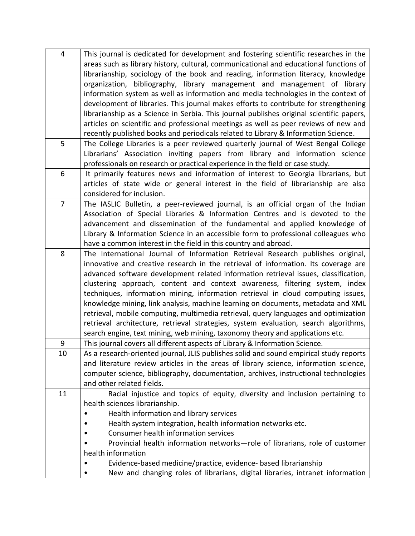| This journal is dedicated for development and fostering scientific researches in the<br>$\overline{4}$<br>areas such as library history, cultural, communicational and educational functions of<br>librarianship, sociology of the book and reading, information literacy, knowledge<br>organization, bibliography, library management and management of library<br>information system as well as information and media technologies in the context of<br>development of libraries. This journal makes efforts to contribute for strengthening<br>librarianship as a Science in Serbia. This journal publishes original scientific papers,<br>articles on scientific and professional meetings as well as peer reviews of new and<br>recently published books and periodicals related to Library & Information Science.<br>5<br>The College Libraries is a peer reviewed quarterly journal of West Bengal College<br>Librarians' Association inviting papers from library and information science<br>professionals on research or practical experience in the field or case study.<br>6<br>It primarily features news and information of interest to Georgia librarians, but<br>articles of state wide or general interest in the field of librarianship are also<br>considered for inclusion.<br>The IASLIC Bulletin, a peer-reviewed journal, is an official organ of the Indian<br>$\overline{7}$<br>Association of Special Libraries & Information Centres and is devoted to the<br>advancement and dissemination of the fundamental and applied knowledge of<br>Library & Information Science in an accessible form to professional colleagues who<br>have a common interest in the field in this country and abroad.<br>The International Journal of Information Retrieval Research publishes original,<br>8 |  |
|--------------------------------------------------------------------------------------------------------------------------------------------------------------------------------------------------------------------------------------------------------------------------------------------------------------------------------------------------------------------------------------------------------------------------------------------------------------------------------------------------------------------------------------------------------------------------------------------------------------------------------------------------------------------------------------------------------------------------------------------------------------------------------------------------------------------------------------------------------------------------------------------------------------------------------------------------------------------------------------------------------------------------------------------------------------------------------------------------------------------------------------------------------------------------------------------------------------------------------------------------------------------------------------------------------------------------------------------------------------------------------------------------------------------------------------------------------------------------------------------------------------------------------------------------------------------------------------------------------------------------------------------------------------------------------------------------------------------------------------------------------------------------------------------------------------------|--|
|                                                                                                                                                                                                                                                                                                                                                                                                                                                                                                                                                                                                                                                                                                                                                                                                                                                                                                                                                                                                                                                                                                                                                                                                                                                                                                                                                                                                                                                                                                                                                                                                                                                                                                                                                                                                                    |  |
|                                                                                                                                                                                                                                                                                                                                                                                                                                                                                                                                                                                                                                                                                                                                                                                                                                                                                                                                                                                                                                                                                                                                                                                                                                                                                                                                                                                                                                                                                                                                                                                                                                                                                                                                                                                                                    |  |
|                                                                                                                                                                                                                                                                                                                                                                                                                                                                                                                                                                                                                                                                                                                                                                                                                                                                                                                                                                                                                                                                                                                                                                                                                                                                                                                                                                                                                                                                                                                                                                                                                                                                                                                                                                                                                    |  |
|                                                                                                                                                                                                                                                                                                                                                                                                                                                                                                                                                                                                                                                                                                                                                                                                                                                                                                                                                                                                                                                                                                                                                                                                                                                                                                                                                                                                                                                                                                                                                                                                                                                                                                                                                                                                                    |  |
| innovative and creative research in the retrieval of information. Its coverage are<br>advanced software development related information retrieval issues, classification,<br>clustering approach, content and context awareness, filtering system, index<br>techniques, information mining, information retrieval in cloud computing issues,<br>knowledge mining, link analysis, machine learning on documents, metadata and XML<br>retrieval, mobile computing, multimedia retrieval, query languages and optimization<br>retrieval architecture, retrieval strategies, system evaluation, search algorithms,<br>search engine, text mining, web mining, taxonomy theory and applications etc.                                                                                                                                                                                                                                                                                                                                                                                                                                                                                                                                                                                                                                                                                                                                                                                                                                                                                                                                                                                                                                                                                                                    |  |
| 9<br>This journal covers all different aspects of Library & Information Science.                                                                                                                                                                                                                                                                                                                                                                                                                                                                                                                                                                                                                                                                                                                                                                                                                                                                                                                                                                                                                                                                                                                                                                                                                                                                                                                                                                                                                                                                                                                                                                                                                                                                                                                                   |  |
| 10<br>As a research-oriented journal, JLIS publishes solid and sound empirical study reports<br>and literature review articles in the areas of library science, information science,<br>computer science, bibliography, documentation, archives, instructional technologies<br>and other related fields.                                                                                                                                                                                                                                                                                                                                                                                                                                                                                                                                                                                                                                                                                                                                                                                                                                                                                                                                                                                                                                                                                                                                                                                                                                                                                                                                                                                                                                                                                                           |  |
| Racial injustice and topics of equity, diversity and inclusion pertaining to<br>11<br>health sciences librarianship.<br>Health information and library services<br>Health system integration, health information networks etc.<br>Consumer health information services<br>Provincial health information networks-role of librarians, role of customer<br>health information<br>Evidence-based medicine/practice, evidence- based librarianship<br>New and changing roles of librarians, digital libraries, intranet information                                                                                                                                                                                                                                                                                                                                                                                                                                                                                                                                                                                                                                                                                                                                                                                                                                                                                                                                                                                                                                                                                                                                                                                                                                                                                    |  |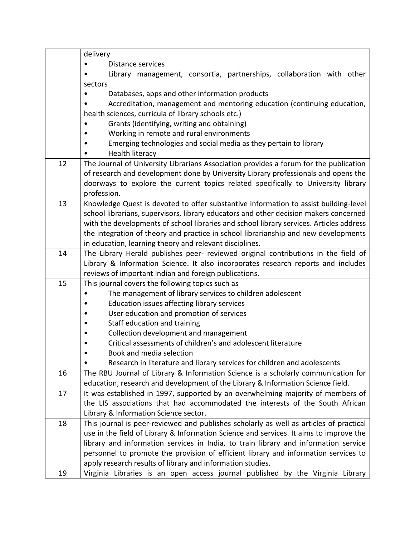|    | delivery                                                                                |  |  |
|----|-----------------------------------------------------------------------------------------|--|--|
|    | Distance services                                                                       |  |  |
|    | Library management, consortia, partnerships, collaboration with other                   |  |  |
|    | sectors                                                                                 |  |  |
|    | Databases, apps and other information products                                          |  |  |
|    | Accreditation, management and mentoring education (continuing education,                |  |  |
|    | health sciences, curricula of library schools etc.)                                     |  |  |
|    | Grants (identifying, writing and obtaining)                                             |  |  |
|    | Working in remote and rural environments                                                |  |  |
|    | Emerging technologies and social media as they pertain to library                       |  |  |
|    | Health literacy                                                                         |  |  |
| 12 | The Journal of University Librarians Association provides a forum for the publication   |  |  |
|    | of research and development done by University Library professionals and opens the      |  |  |
|    | doorways to explore the current topics related specifically to University library       |  |  |
|    | profession.                                                                             |  |  |
| 13 | Knowledge Quest is devoted to offer substantive information to assist building-level    |  |  |
|    | school librarians, supervisors, library educators and other decision makers concerned   |  |  |
|    | with the developments of school libraries and school library services. Articles address |  |  |
|    | the integration of theory and practice in school librarianship and new developments     |  |  |
|    | in education, learning theory and relevant disciplines.                                 |  |  |
| 14 | The Library Herald publishes peer- reviewed original contributions in the field of      |  |  |
|    | Library & Information Science. It also incorporates research reports and includes       |  |  |
|    | reviews of important Indian and foreign publications.                                   |  |  |
| 15 | This journal covers the following topics such as                                        |  |  |
|    | The management of library services to children adolescent<br>٠                          |  |  |
|    | Education issues affecting library services                                             |  |  |
|    | User education and promotion of services                                                |  |  |
|    | Staff education and training                                                            |  |  |
|    | Collection development and management                                                   |  |  |
|    | Critical assessments of children's and adolescent literature                            |  |  |
|    | Book and media selection                                                                |  |  |
|    | Research in literature and library services for children and adolescents                |  |  |
| 16 | The RBU Journal of Library & Information Science is a scholarly communication for       |  |  |
|    | education, research and development of the Library & Information Science field.         |  |  |
| 17 | It was established in 1997, supported by an overwhelming majority of members of         |  |  |
|    | the LIS associations that had accommodated the interests of the South African           |  |  |
|    | Library & Information Science sector.                                                   |  |  |
| 18 | This journal is peer-reviewed and publishes scholarly as well as articles of practical  |  |  |
|    | use in the field of Library & Information Science and services. It aims to improve the  |  |  |
|    | library and information services in India, to train library and information service     |  |  |
|    | personnel to promote the provision of efficient library and information services to     |  |  |
|    | apply research results of library and information studies.                              |  |  |
| 19 | Virginia Libraries is an open access journal published by the Virginia Library          |  |  |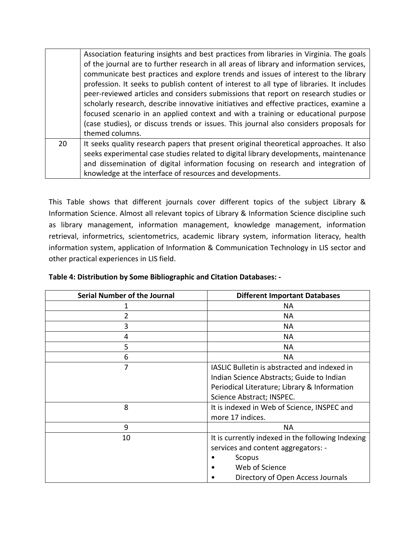|    | Association featuring insights and best practices from libraries in Virginia. The goals<br>of the journal are to further research in all areas of library and information services,<br>communicate best practices and explore trends and issues of interest to the library<br>profession. It seeks to publish content of interest to all type of libraries. It includes<br>peer-reviewed articles and considers submissions that report on research studies or<br>scholarly research, describe innovative initiatives and effective practices, examine a<br>focused scenario in an applied context and with a training or educational purpose<br>(case studies), or discuss trends or issues. This journal also considers proposals for<br>themed columns. |
|----|------------------------------------------------------------------------------------------------------------------------------------------------------------------------------------------------------------------------------------------------------------------------------------------------------------------------------------------------------------------------------------------------------------------------------------------------------------------------------------------------------------------------------------------------------------------------------------------------------------------------------------------------------------------------------------------------------------------------------------------------------------|
| 20 | It seeks quality research papers that present original theoretical approaches. It also<br>seeks experimental case studies related to digital library developments, maintenance<br>and dissemination of digital information focusing on research and integration of<br>knowledge at the interface of resources and developments.                                                                                                                                                                                                                                                                                                                                                                                                                            |

This Table shows that different journals cover different topics of the subject Library & Information Science. Almost all relevant topics of Library & Information Science discipline such as library management, information management, knowledge management, information retrieval, informetrics, scientometrics, academic library system, information literacy, health information system, application of Information & Communication Technology in LIS sector and other practical experiences in LIS field.

| <b>Serial Number of the Journal</b> | <b>Different Important Databases</b>              |  |
|-------------------------------------|---------------------------------------------------|--|
|                                     | NА                                                |  |
| 2                                   | <b>NA</b>                                         |  |
| 3                                   | NА                                                |  |
| 4                                   | NА                                                |  |
| 5                                   | <b>NA</b>                                         |  |
| 6                                   | NА                                                |  |
| 7                                   | IASLIC Bulletin is abstracted and indexed in      |  |
|                                     | Indian Science Abstracts; Guide to Indian         |  |
|                                     | Periodical Literature; Library & Information      |  |
|                                     | Science Abstract; INSPEC.                         |  |
| 8                                   | It is indexed in Web of Science, INSPEC and       |  |
|                                     | more 17 indices.                                  |  |
| 9                                   | <b>NA</b>                                         |  |
| 10                                  | It is currently indexed in the following Indexing |  |
|                                     | services and content aggregators: -               |  |
|                                     | Scopus                                            |  |
|                                     | Web of Science                                    |  |
|                                     | Directory of Open Access Journals                 |  |

**Table 4: Distribution by Some Bibliographic and Citation Databases: -**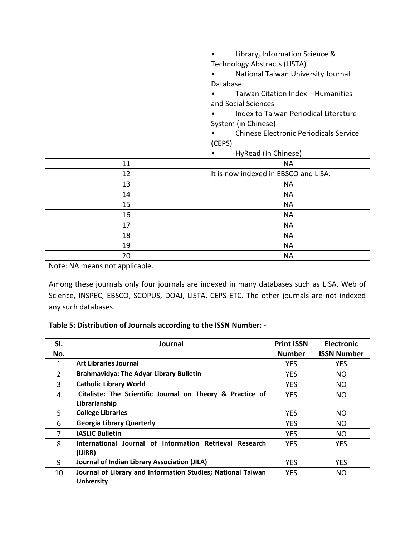|    | Library, Information Science &                |  |
|----|-----------------------------------------------|--|
|    | <b>Technology Abstracts (LISTA)</b>           |  |
|    | National Taiwan University Journal            |  |
|    | Database                                      |  |
|    | Taiwan Citation Index - Humanities            |  |
|    | and Social Sciences                           |  |
|    | Index to Taiwan Periodical Literature         |  |
|    | System (in Chinese)                           |  |
|    | <b>Chinese Electronic Periodicals Service</b> |  |
|    | (CEPS)                                        |  |
|    | HyRead (In Chinese)                           |  |
| 11 | <b>NA</b>                                     |  |
| 12 | It is now indexed in EBSCO and LISA.          |  |
| 13 | <b>NA</b>                                     |  |
| 14 | <b>NA</b>                                     |  |
| 15 | NA                                            |  |
| 16 | <b>NA</b>                                     |  |
| 17 | <b>NA</b>                                     |  |
| 18 | <b>NA</b>                                     |  |
| 19 | <b>NA</b>                                     |  |
| 20 | <b>NA</b>                                     |  |

Note: NA means not applicable.

Among these journals only four journals are indexed in many databases such as LISA, Web of Science, INSPEC, EBSCO, SCOPUS, DOAJ, LISTA, CEPS ETC. The other journals are not indexed any such databases.

## **Table 5: Distribution of Journals according to the ISSN Number: -**

| SI.            | Journal                                                     | <b>Print ISSN</b> | <b>Electronic</b>  |
|----------------|-------------------------------------------------------------|-------------------|--------------------|
| No.            |                                                             | <b>Number</b>     | <b>ISSN Number</b> |
| 1              | <b>Art Libraries Journal</b>                                | <b>YES</b>        | <b>YES</b>         |
| 2              | <b>Brahmavidya: The Adyar Library Bulletin</b>              | <b>YES</b>        | NO.                |
| $\overline{3}$ | <b>Catholic Library World</b>                               | <b>YES</b>        | NO.                |
| 4              | Citaliste: The Scientific Journal on Theory & Practice of   | <b>YES</b>        | NO                 |
|                | Librarianship                                               |                   |                    |
| 5              | <b>College Libraries</b>                                    | <b>YES</b>        | NO.                |
| 6              | <b>Georgia Library Quarterly</b>                            | <b>YES</b>        | NO                 |
| 7              | <b>IASLIC Bulletin</b>                                      | <b>YES</b>        | NO.                |
| 8              | International Journal of Information Retrieval Research     | <b>YES</b>        | <b>YES</b>         |
|                | (IJIRR)                                                     |                   |                    |
| 9              | Journal of Indian Library Association (JILA)                | <b>YES</b>        | <b>YES</b>         |
| 10             | Journal of Library and Information Studies; National Taiwan | <b>YES</b>        | <b>NO</b>          |
|                | <b>University</b>                                           |                   |                    |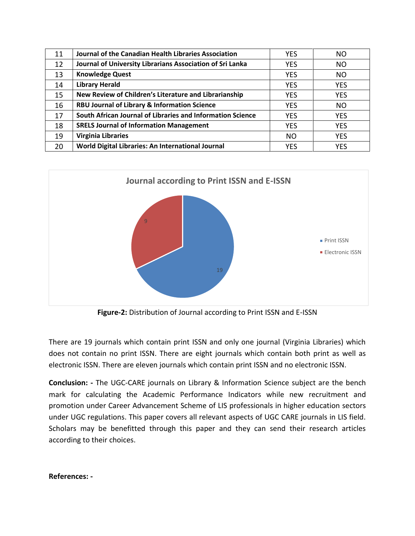| 11 | Journal of the Canadian Health Libraries Association       | <b>YES</b> | NO.        |
|----|------------------------------------------------------------|------------|------------|
| 12 | Journal of University Librarians Association of Sri Lanka  | <b>YES</b> | <b>NO</b>  |
| 13 | <b>Knowledge Quest</b>                                     | <b>YES</b> | NO         |
| 14 | <b>Library Herald</b>                                      | <b>YES</b> | <b>YES</b> |
| 15 | New Review of Children's Literature and Librarianship      | <b>YES</b> | <b>YES</b> |
| 16 | RBU Journal of Library & Information Science               | <b>YES</b> | NO         |
| 17 | South African Journal of Libraries and Information Science | <b>YES</b> | <b>YES</b> |
| 18 | <b>SRELS Journal of Information Management</b>             | <b>YES</b> | <b>YES</b> |
| 19 | <b>Virginia Libraries</b>                                  | NO         | <b>YES</b> |
| 20 | World Digital Libraries: An International Journal          | YES        | <b>YES</b> |



**Figure-2:** Distribution of Journal according to Print ISSN and E-ISSN

There are 19 journals which contain print ISSN and only one journal (Virginia Libraries) which does not contain no print ISSN. There are eight journals which contain both print as well as electronic ISSN. There are eleven journals which contain print ISSN and no electronic ISSN.

**Conclusion: -** The UGC-CARE journals on Library & Information Science subject are the bench mark for calculating the Academic Performance Indicators while new recruitment and promotion under Career Advancement Scheme of LIS professionals in higher education sectors under UGC regulations. This paper covers all relevant aspects of UGC CARE journals in LIS field. Scholars may be benefitted through this paper and they can send their research articles according to their choices.

**References: -**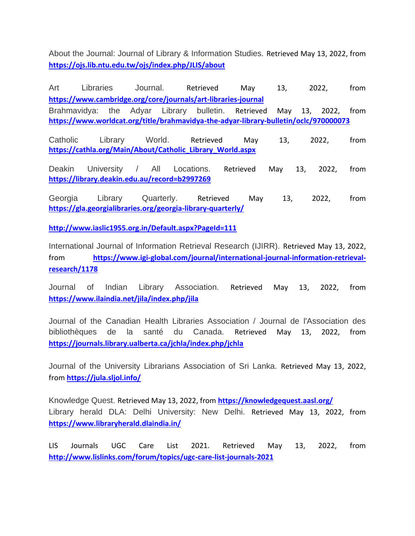About the Journal: Journal of Library & Information Studies. Retrieved May 13, 2022, from **<https://ojs.lib.ntu.edu.tw/ojs/index.php/JLIS/about>**

Art Libraries Journal. Retrieved May 13, 2022, from **<https://www.cambridge.org/core/journals/art-libraries-journal>** Brahmavidya: the Adyar Library bulletin. Retrieved May 13, 2022, from **<https://www.worldcat.org/title/brahmavidya-the-adyar-library-bulletin/oclc/970000073>**

Catholic Library World. Retrieved May 13, 2022, from **[https://cathla.org/Main/About/Catholic\\_Library\\_World.aspx](https://cathla.org/Main/About/Catholic_Library_World.aspx)**

Deakin University / All Locations. Retrieved May 13, 2022, from **<https://library.deakin.edu.au/record=b2997269>**

Georgia Library Quarterly. Retrieved May 13, 2022, from **<https://gla.georgialibraries.org/georgia-library-quarterly/>**

**<http://www.iaslic1955.org.in/Default.aspx?PageId=111>**

International Journal of Information Retrieval Research (IJIRR). Retrieved May 13, 2022, from **[https://www.igi-global.com/journal/international-journal-information-retrieval](https://www.igi-global.com/journal/international-journal-information-retrieval-research/1178)[research/1178](https://www.igi-global.com/journal/international-journal-information-retrieval-research/1178)**

Journal of Indian Library Association. Retrieved May 13, 2022, from **<https://www.ilaindia.net/jila/index.php/jila>**

Journal of the Canadian Health Libraries Association / Journal de l'Association des bibliothèques de la santé du Canada. Retrieved May 13, 2022, from **<https://journals.library.ualberta.ca/jchla/index.php/jchla>**

Journal of the University Librarians Association of Sri Lanka. Retrieved May 13, 2022, from **<https://jula.sljol.info/>**

Knowledge Quest. Retrieved May 13, 2022, from **<https://knowledgequest.aasl.org/>** Library herald DLA: Delhi University: New Delhi. Retrieved May 13, 2022, from **<https://www.libraryherald.dlaindia.in/>**

LIS Journals UGC Care List 2021. Retrieved May 13, 2022, from **<http://www.lislinks.com/forum/topics/ugc-care-list-journals-2021>**